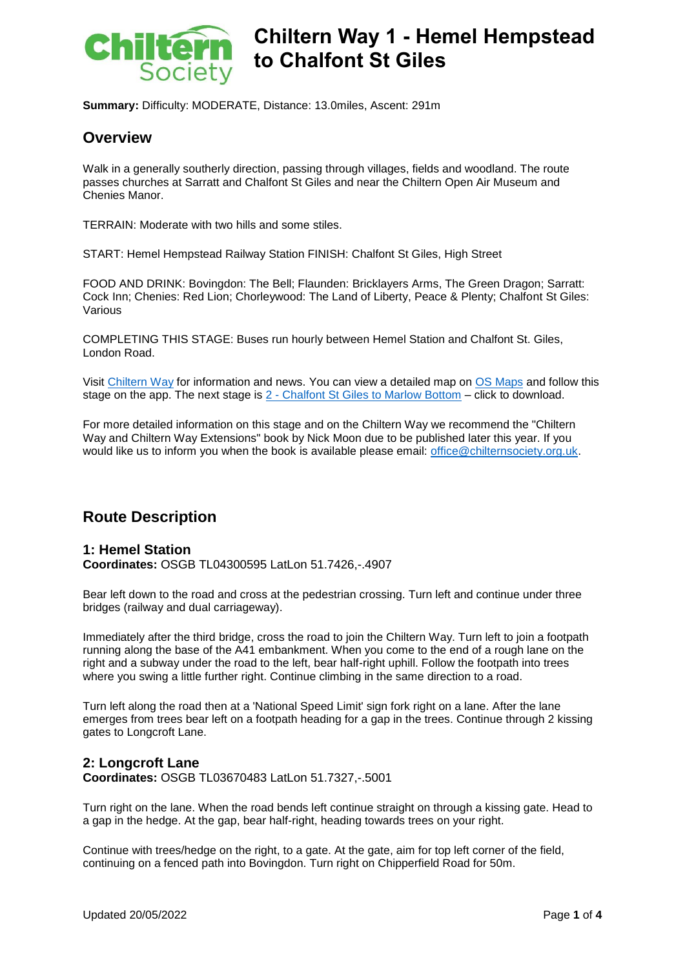

# Chiltern Way 1 - Hemel Hempstead **to Chalfont St Giles**

**Summary:** Difficulty: MODERATE, Distance: 13.0miles, Ascent: 291m

#### **Overview**

Walk in a generally southerly direction, passing through villages, fields and woodland. The route passes churches at Sarratt and Chalfont St Giles and near the Chiltern Open Air Museum and Chenies Manor.

TERRAIN: Moderate with two hills and some stiles.

START: Hemel Hempstead Railway Station FINISH: Chalfont St Giles, High Street

FOOD AND DRINK: Bovingdon: The Bell; Flaunden: Bricklayers Arms, The Green Dragon; Sarratt: Cock Inn; Chenies: Red Lion; Chorleywood: The Land of Liberty, Peace & Plenty; Chalfont St Giles: Various

COMPLETING THIS STAGE: Buses run hourly between Hemel Station and Chalfont St. Giles, London Road.

Visit [Chiltern Way](https://chilternsociety.org.uk/the-chiltern-way/) for information and news. You can view a detailed map on [OS Maps](https://explore.osmaps.com/en/route/11011408) and follow this stage on the app. The next stage is  $2$  - [Chalfont St Giles to Marlow Bottom](https://chilternsociety.org.uk/wp-content/uploads/2022/05/ChilternWay02.pdf) – click to download.

For more detailed information on this stage and on the Chiltern Way we recommend the "Chiltern Way and Chiltern Way Extensions" book by Nick Moon due to be published later this year. If you would like us to inform you when the book is available please email: [office@chilternsociety.org.uk.](mailto:office@chilternsociety.org.uk)

### **Route Description**

#### **1: Hemel Station Coordinates:** OSGB TL04300595 LatLon 51.7426,-.4907

Bear left down to the road and cross at the pedestrian crossing. Turn left and continue under three bridges (railway and dual carriageway).

Immediately after the third bridge, cross the road to join the Chiltern Way. Turn left to join a footpath running along the base of the A41 embankment. When you come to the end of a rough lane on the right and a subway under the road to the left, bear half-right uphill. Follow the footpath into trees where you swing a little further right. Continue climbing in the same direction to a road.

Turn left along the road then at a 'National Speed Limit' sign fork right on a lane. After the lane emerges from trees bear left on a footpath heading for a gap in the trees. Continue through 2 kissing gates to Longcroft Lane.

#### **2: Longcroft Lane Coordinates:** OSGB TL03670483 LatLon 51.7327,-.5001

Turn right on the lane. When the road bends left continue straight on through a kissing gate. Head to a gap in the hedge. At the gap, bear half-right, heading towards trees on your right.

Continue with trees/hedge on the right, to a gate. At the gate, aim for top left corner of the field, continuing on a fenced path into Bovingdon. Turn right on Chipperfield Road for 50m.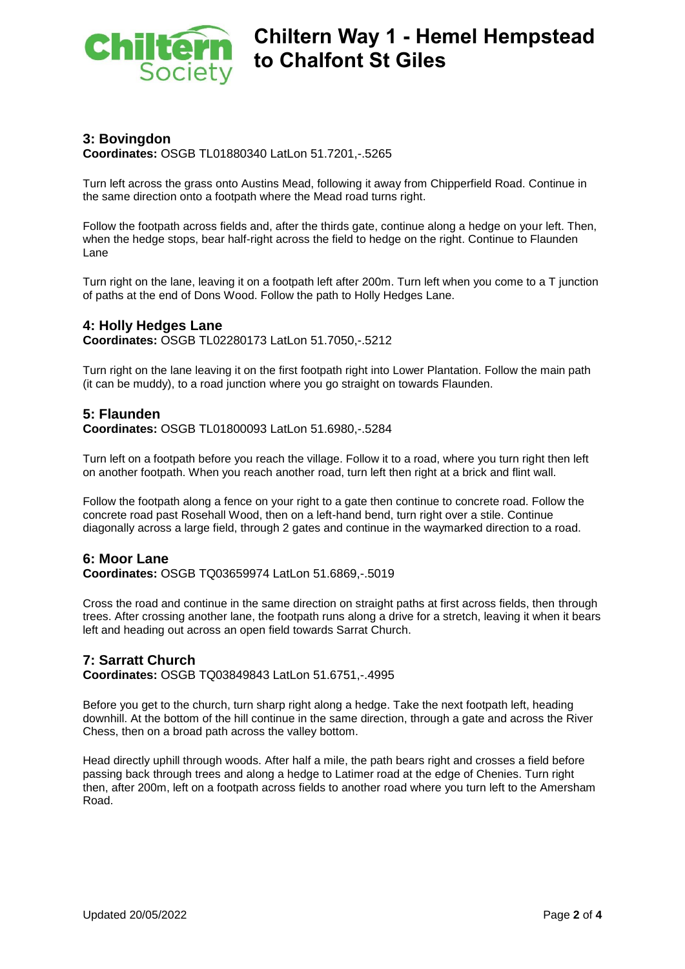

#### **3: Bovingdon**

**Coordinates:** OSGB TL01880340 LatLon 51.7201,-.5265

Turn left across the grass onto Austins Mead, following it away from Chipperfield Road. Continue in the same direction onto a footpath where the Mead road turns right.

Follow the footpath across fields and, after the thirds gate, continue along a hedge on your left. Then, when the hedge stops, bear half-right across the field to hedge on the right. Continue to Flaunden Lane

Turn right on the lane, leaving it on a footpath left after 200m. Turn left when you come to a T junction of paths at the end of Dons Wood. Follow the path to Holly Hedges Lane.

#### **4: Holly Hedges Lane**

**Coordinates:** OSGB TL02280173 LatLon 51.7050,-.5212

Turn right on the lane leaving it on the first footpath right into Lower Plantation. Follow the main path (it can be muddy), to a road junction where you go straight on towards Flaunden.

#### **5: Flaunden**

**Coordinates:** OSGB TL01800093 LatLon 51.6980,-.5284

Turn left on a footpath before you reach the village. Follow it to a road, where you turn right then left on another footpath. When you reach another road, turn left then right at a brick and flint wall.

Follow the footpath along a fence on your right to a gate then continue to concrete road. Follow the concrete road past Rosehall Wood, then on a left-hand bend, turn right over a stile. Continue diagonally across a large field, through 2 gates and continue in the waymarked direction to a road.

#### **6: Moor Lane**

**Coordinates:** OSGB TQ03659974 LatLon 51.6869,-.5019

Cross the road and continue in the same direction on straight paths at first across fields, then through trees. After crossing another lane, the footpath runs along a drive for a stretch, leaving it when it bears left and heading out across an open field towards Sarrat Church.

#### **7: Sarratt Church**

**Coordinates:** OSGB TQ03849843 LatLon 51.6751,-.4995

Before you get to the church, turn sharp right along a hedge. Take the next footpath left, heading downhill. At the bottom of the hill continue in the same direction, through a gate and across the River Chess, then on a broad path across the valley bottom.

Head directly uphill through woods. After half a mile, the path bears right and crosses a field before passing back through trees and along a hedge to Latimer road at the edge of Chenies. Turn right then, after 200m, left on a footpath across fields to another road where you turn left to the Amersham Road.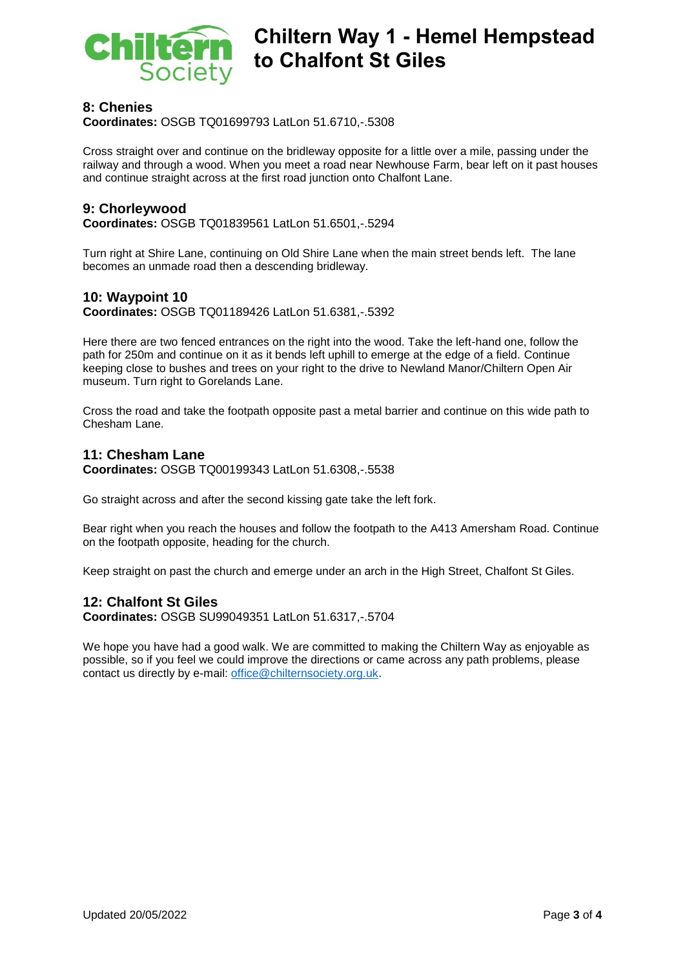

## **Chiltern Way 1 - Hemel Hempstead to Chalfont St Giles**

#### **8: Chenies**

**Coordinates:** OSGB TQ01699793 LatLon 51.6710,-.5308

Cross straight over and continue on the bridleway opposite for a little over a mile, passing under the railway and through a wood. When you meet a road near Newhouse Farm, bear left on it past houses and continue straight across at the first road junction onto Chalfont Lane.

#### **9: Chorleywood**

**Coordinates:** OSGB TQ01839561 LatLon 51.6501,-.5294

Turn right at Shire Lane, continuing on Old Shire Lane when the main street bends left. The lane becomes an unmade road then a descending bridleway.

#### **10: Waypoint 10**

**Coordinates:** OSGB TQ01189426 LatLon 51.6381,-.5392

Here there are two fenced entrances on the right into the wood. Take the left-hand one, follow the path for 250m and continue on it as it bends left uphill to emerge at the edge of a field. Continue keeping close to bushes and trees on your right to the drive to Newland Manor/Chiltern Open Air museum. Turn right to Gorelands Lane.

Cross the road and take the footpath opposite past a metal barrier and continue on this wide path to Chesham Lane.

#### **11: Chesham Lane**

**Coordinates:** OSGB TQ00199343 LatLon 51.6308,-.5538

Go straight across and after the second kissing gate take the left fork.

Bear right when you reach the houses and follow the footpath to the A413 Amersham Road. Continue on the footpath opposite, heading for the church.

Keep straight on past the church and emerge under an arch in the High Street, Chalfont St Giles.

#### **12: Chalfont St Giles**

**Coordinates:** OSGB SU99049351 LatLon 51.6317,-.5704

We hope you have had a good walk. We are committed to making the Chiltern Way as enjoyable as possible, so if you feel we could improve the directions or came across any path problems, please contact us directly by e-mail: [office@chilternsociety.org.uk.](mailto:office@chilternsociety.org.uk)